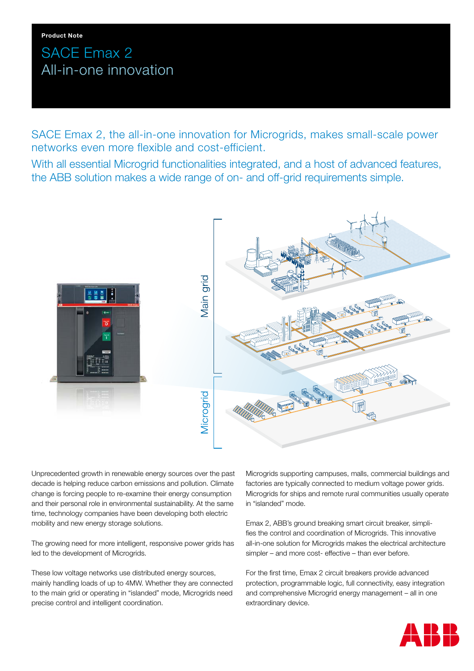# SACE Emax 2 All-in-one innovation

SACE Emax 2, the all-in-one innovation for Microgrids, makes small-scale power networks even more flexible and cost-efficient.

With all essential Microgrid functionalities integrated, and a host of advanced features, the ABB solution makes a wide range of on- and off-grid requirements simple.



Unprecedented growth in renewable energy sources over the past decade is helping reduce carbon emissions and pollution. Climate change is forcing people to re-examine their energy consumption and their personal role in environmental sustainability. At the same time, technology companies have been developing both electric mobility and new energy storage solutions.

The growing need for more intelligent, responsive power grids has led to the development of Microgrids.

These low voltage networks use distributed energy sources, mainly handling loads of up to 4MW. Whether they are connected to the main grid or operating in "islanded" mode, Microgrids need precise control and intelligent coordination.

Microgrids supporting campuses, malls, commercial buildings and factories are typically connected to medium voltage power grids. Microgrids for ships and remote rural communities usually operate in "islanded" mode.

Emax 2, ABB's ground breaking smart circuit breaker, simplifies the control and coordination of Microgrids. This innovative all-in-one solution for Microgrids makes the electrical architecture simpler – and more cost- effective – than ever before.

For the first time, Emax 2 circuit breakers provide advanced protection, programmable logic, full connectivity, easy integration and comprehensive Microgrid energy management – all in one extraordinary device.

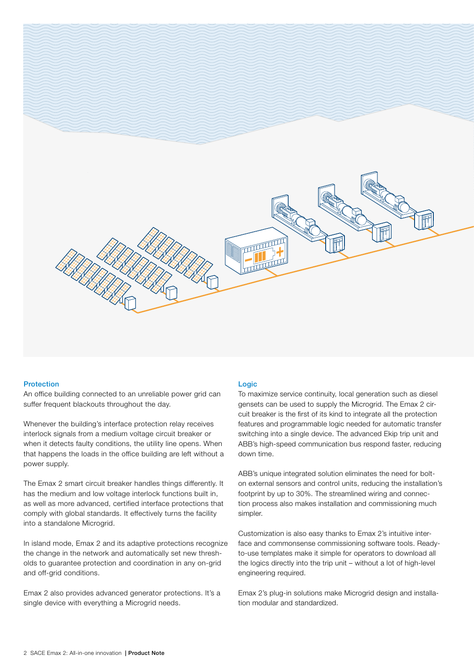

## Protection

An office building connected to an unreliable power grid can suffer frequent blackouts throughout the day.

Whenever the building's interface protection relay receives interlock signals from a medium voltage circuit breaker or when it detects faulty conditions, the utility line opens. When that happens the loads in the office building are left without a power supply.

The Emax 2 smart circuit breaker handles things differently. It has the medium and low voltage interlock functions built in, as well as more advanced, certified interface protections that comply with global standards. It effectively turns the facility into a standalone Microgrid.

In island mode, Emax 2 and its adaptive protections recognize the change in the network and automatically set new thresholds to guarantee protection and coordination in any on-grid and off-grid conditions.

Emax 2 also provides advanced generator protections. It's a single device with everything a Microgrid needs.

### **Logic**

To maximize service continuity, local generation such as diesel gensets can be used to supply the Microgrid. The Emax 2 circuit breaker is the first of its kind to integrate all the protection features and programmable logic needed for automatic transfer switching into a single device. The advanced Ekip trip unit and ABB's high-speed communication bus respond faster, reducing down time.

ABB's unique integrated solution eliminates the need for bolton external sensors and control units, reducing the installation's footprint by up to 30%. The streamlined wiring and connection process also makes installation and commissioning much simpler.

Customization is also easy thanks to Emax 2's intuitive interface and commonsense commissioning software tools. Readyto-use templates make it simple for operators to download all the logics directly into the trip unit – without a lot of high-level engineering required.

Emax 2's plug-in solutions make Microgrid design and installation modular and standardized.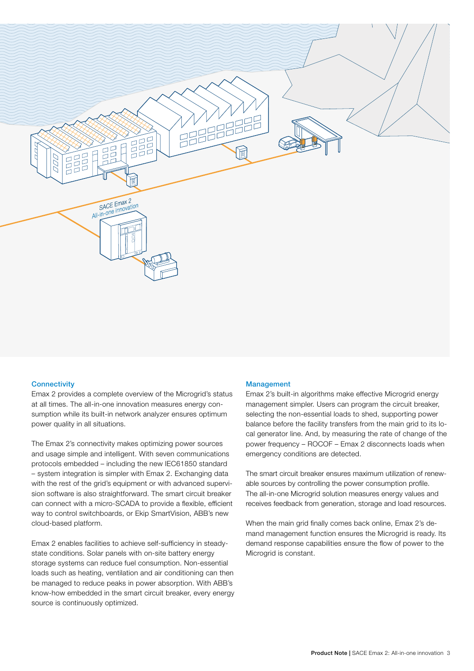

#### **Connectivity**

Emax 2 provides a complete overview of the Microgrid's status at all times. The all-in-one innovation measures energy consumption while its built-in network analyzer ensures optimum power quality in all situations.

The Emax 2's connectivity makes optimizing power sources and usage simple and intelligent. With seven communications protocols embedded – including the new IEC61850 standard – system integration is simpler with Emax 2. Exchanging data with the rest of the grid's equipment or with advanced supervision software is also straightforward. The smart circuit breaker can connect with a micro-SCADA to provide a flexible, efficient way to control switchboards, or Ekip SmartVision, ABB's new cloud-based platform.

Emax 2 enables facilities to achieve self-sufficiency in steadystate conditions. Solar panels with on-site battery energy storage systems can reduce fuel consumption. Non-essential loads such as heating, ventilation and air conditioning can then be managed to reduce peaks in power absorption. With ABB's know-how embedded in the smart circuit breaker, every energy source is continuously optimized.

### Management

Emax 2's built-in algorithms make effective Microgrid energy management simpler. Users can program the circuit breaker, selecting the non-essential loads to shed, supporting power balance before the facility transfers from the main grid to its local generator line. And, by measuring the rate of change of the power frequency – ROCOF – Emax 2 disconnects loads when emergency conditions are detected.

The smart circuit breaker ensures maximum utilization of renewable sources by controlling the power consumption profile. The all-in-one Microgrid solution measures energy values and receives feedback from generation, storage and load resources.

When the main grid finally comes back online, Emax 2's demand management function ensures the Microgrid is ready. Its demand response capabilities ensure the flow of power to the Microgrid is constant.